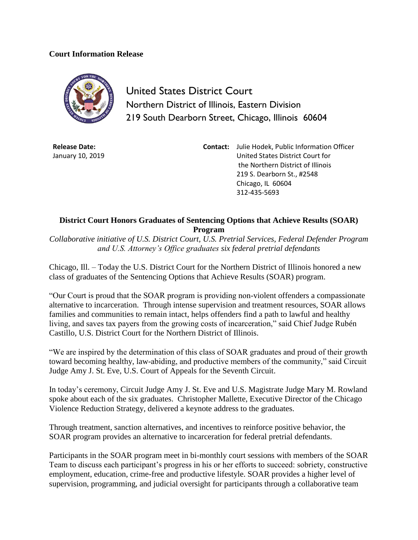## **Court Information Release**



United States District Court Northern District of Illinois, Eastern Division 219 South Dearborn Street, Chicago, Illinois 60604

**Release Date:** January 10, 2019 **Contact:** Julie Hodek, Public Information Officer United States District Court for the Northern District of Illinois 219 S. Dearborn St., #2548 Chicago, IL 60604 312-435-5693

## **District Court Honors Graduates of Sentencing Options that Achieve Results (SOAR) Program**

*Collaborative initiative of U.S. District Court, U.S. Pretrial Services, Federal Defender Program and U.S. Attorney's Office graduates six federal pretrial defendants*

Chicago, Ill. – Today the U.S. District Court for the Northern District of Illinois honored a new class of graduates of the Sentencing Options that Achieve Results (SOAR) program.

"Our Court is proud that the SOAR program is providing non-violent offenders a compassionate alternative to incarceration. Through intense supervision and treatment resources, SOAR allows families and communities to remain intact, helps offenders find a path to lawful and healthy living, and saves tax payers from the growing costs of incarceration," said Chief Judge Rubén Castillo, U.S. District Court for the Northern District of Illinois.

"We are inspired by the determination of this class of SOAR graduates and proud of their growth toward becoming healthy, law-abiding, and productive members of the community," said Circuit Judge Amy J. St. Eve, U.S. Court of Appeals for the Seventh Circuit.

In today's ceremony, Circuit Judge Amy J. St. Eve and U.S. Magistrate Judge Mary M. Rowland spoke about each of the six graduates. Christopher Mallette, Executive Director of the Chicago Violence Reduction Strategy, delivered a keynote address to the graduates.

Through treatment, sanction alternatives, and incentives to reinforce positive behavior, the SOAR program provides an alternative to incarceration for federal pretrial defendants.

Participants in the SOAR program meet in bi-monthly court sessions with members of the SOAR Team to discuss each participant's progress in his or her efforts to succeed: sobriety, constructive employment, education, crime-free and productive lifestyle. SOAR provides a higher level of supervision, programming, and judicial oversight for participants through a collaborative team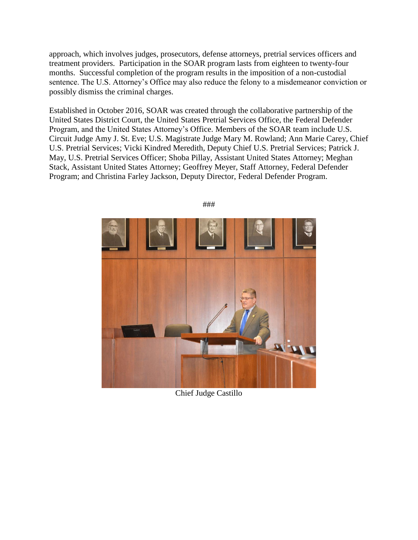approach, which involves judges, prosecutors, defense attorneys, pretrial services officers and treatment providers. Participation in the SOAR program lasts from eighteen to twenty-four months. Successful completion of the program results in the imposition of a non-custodial sentence. The U.S. Attorney's Office may also reduce the felony to a misdemeanor conviction or possibly dismiss the criminal charges.

Established in October 2016, SOAR was created through the collaborative partnership of the United States District Court, the United States Pretrial Services Office, the Federal Defender Program, and the United States Attorney's Office. Members of the SOAR team include U.S. Circuit Judge Amy J. St. Eve; U.S. Magistrate Judge Mary M. Rowland; Ann Marie Carey, Chief U.S. Pretrial Services; Vicki Kindred Meredith, Deputy Chief U.S. Pretrial Services; Patrick J. May, U.S. Pretrial Services Officer; Shoba Pillay, Assistant United States Attorney; Meghan Stack, Assistant United States Attorney; Geoffrey Meyer, Staff Attorney, Federal Defender Program; and Christina Farley Jackson, Deputy Director, Federal Defender Program.



###

Chief Judge Castillo